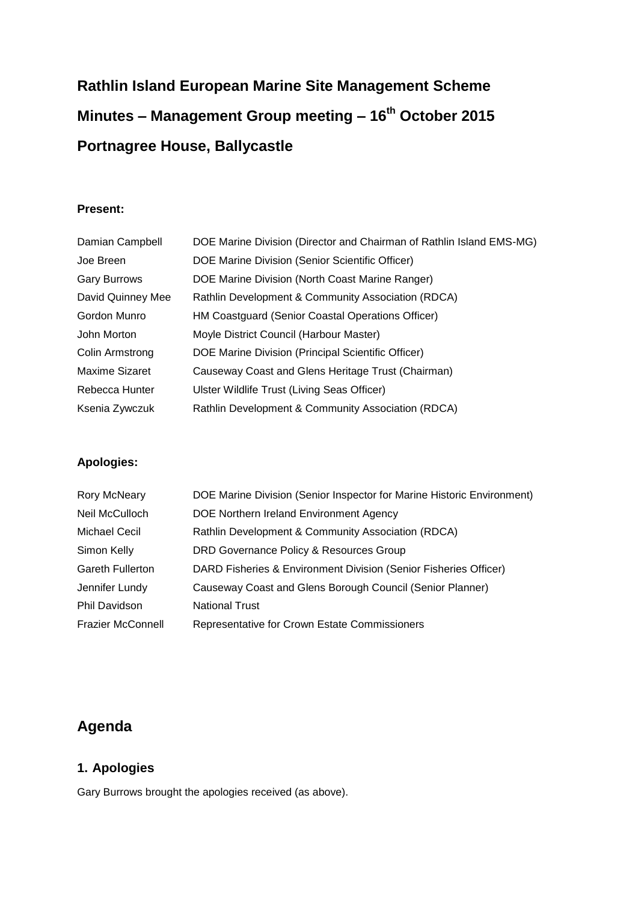# **Rathlin Island European Marine Site Management Scheme Minutes – Management Group meeting – 16th October 2015 Portnagree House, Ballycastle**

#### **Present:**

| Damian Campbell       | DOE Marine Division (Director and Chairman of Rathlin Island EMS-MG) |
|-----------------------|----------------------------------------------------------------------|
| Joe Breen             | DOE Marine Division (Senior Scientific Officer)                      |
| <b>Gary Burrows</b>   | DOE Marine Division (North Coast Marine Ranger)                      |
| David Quinney Mee     | Rathlin Development & Community Association (RDCA)                   |
| Gordon Munro          | HM Coastguard (Senior Coastal Operations Officer)                    |
| John Morton           | Moyle District Council (Harbour Master)                              |
| Colin Armstrong       | DOE Marine Division (Principal Scientific Officer)                   |
| <b>Maxime Sizaret</b> | Causeway Coast and Glens Heritage Trust (Chairman)                   |
| Rebecca Hunter        | Ulster Wildlife Trust (Living Seas Officer)                          |
| Ksenia Zywczuk        | Rathlin Development & Community Association (RDCA)                   |

### **Apologies:**

| <b>Rory McNeary</b>      | DOE Marine Division (Senior Inspector for Marine Historic Environment) |
|--------------------------|------------------------------------------------------------------------|
| Neil McCulloch           | DOE Northern Ireland Environment Agency                                |
| Michael Cecil            | Rathlin Development & Community Association (RDCA)                     |
| Simon Kelly              | DRD Governance Policy & Resources Group                                |
| <b>Gareth Fullerton</b>  | DARD Fisheries & Environment Division (Senior Fisheries Officer)       |
| Jennifer Lundy           | Causeway Coast and Glens Borough Council (Senior Planner)              |
| <b>Phil Davidson</b>     | <b>National Trust</b>                                                  |
| <b>Frazier McConnell</b> | Representative for Crown Estate Commissioners                          |
|                          |                                                                        |

# **Agenda**

### **1. Apologies**

Gary Burrows brought the apologies received (as above).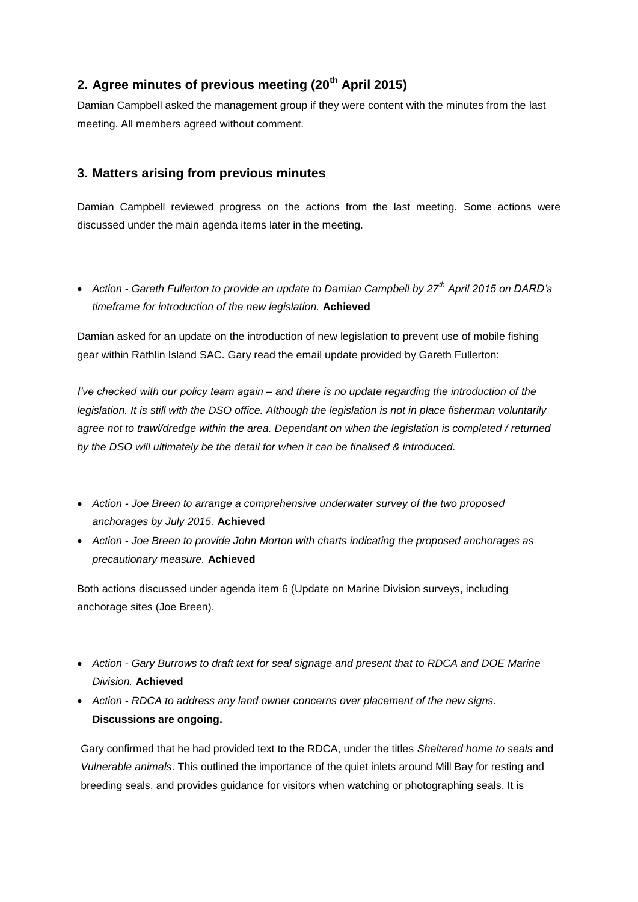### **2. Agree minutes of previous meeting (20th April 2015)**

Damian Campbell asked the management group if they were content with the minutes from the last meeting. All members agreed without comment.

### **3. Matters arising from previous minutes**

Damian Campbell reviewed progress on the actions from the last meeting. Some actions were discussed under the main agenda items later in the meeting.

 *Action - Gareth Fullerton to provide an update to Damian Campbell by 27th April 2015 on DARD's timeframe for introduction of the new legislation.* **Achieved**

Damian asked for an update on the introduction of new legislation to prevent use of mobile fishing gear within Rathlin Island SAC. Gary read the email update provided by Gareth Fullerton:

*I've checked with our policy team again – and there is no update regarding the introduction of the legislation. It is still with the DSO office. Although the legislation is not in place fisherman voluntarily*  agree not to trawl/dredge within the area. Dependant on when the legislation is completed / returned *by the DSO will ultimately be the detail for when it can be finalised & introduced.*

- *Action - Joe Breen to arrange a comprehensive underwater survey of the two proposed anchorages by July 2015.* **Achieved**
- *Action - Joe Breen to provide John Morton with charts indicating the proposed anchorages as precautionary measure.* **Achieved**

Both actions discussed under agenda item 6 (Update on Marine Division surveys, including anchorage sites (Joe Breen).

- *Action - Gary Burrows to draft text for seal signage and present that to RDCA and DOE Marine Division.* **Achieved**
- *Action - RDCA to address any land owner concerns over placement of the new signs.*  **Discussions are ongoing.**

Gary confirmed that he had provided text to the RDCA, under the titles *Sheltered home to seals* and *Vulnerable animals*. This outlined the importance of the quiet inlets around Mill Bay for resting and breeding seals, and provides guidance for visitors when watching or photographing seals. It is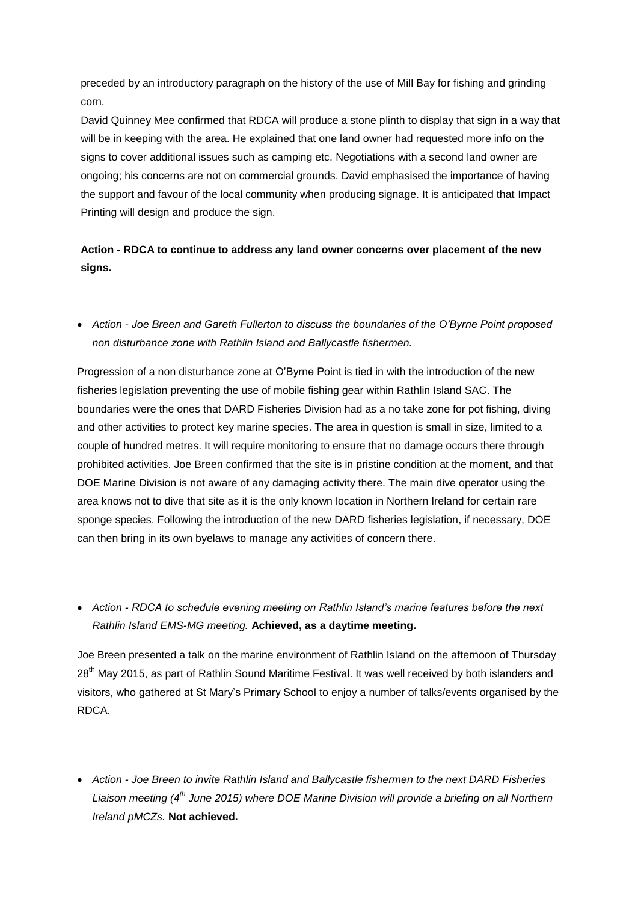preceded by an introductory paragraph on the history of the use of Mill Bay for fishing and grinding corn.

David Quinney Mee confirmed that RDCA will produce a stone plinth to display that sign in a way that will be in keeping with the area. He explained that one land owner had requested more info on the signs to cover additional issues such as camping etc. Negotiations with a second land owner are ongoing; his concerns are not on commercial grounds. David emphasised the importance of having the support and favour of the local community when producing signage. It is anticipated that Impact Printing will design and produce the sign.

### **Action - RDCA to continue to address any land owner concerns over placement of the new signs.**

 *Action - Joe Breen and Gareth Fullerton to discuss the boundaries of the O'Byrne Point proposed non disturbance zone with Rathlin Island and Ballycastle fishermen.*

Progression of a non disturbance zone at O'Byrne Point is tied in with the introduction of the new fisheries legislation preventing the use of mobile fishing gear within Rathlin Island SAC. The boundaries were the ones that DARD Fisheries Division had as a no take zone for pot fishing, diving and other activities to protect key marine species. The area in question is small in size, limited to a couple of hundred metres. It will require monitoring to ensure that no damage occurs there through prohibited activities. Joe Breen confirmed that the site is in pristine condition at the moment, and that DOE Marine Division is not aware of any damaging activity there. The main dive operator using the area knows not to dive that site as it is the only known location in Northern Ireland for certain rare sponge species. Following the introduction of the new DARD fisheries legislation, if necessary, DOE can then bring in its own byelaws to manage any activities of concern there.

 *Action - RDCA to schedule evening meeting on Rathlin Island's marine features before the next Rathlin Island EMS-MG meeting.* **Achieved, as a daytime meeting.**

Joe Breen presented a talk on the marine environment of Rathlin Island on the afternoon of Thursday 28<sup>th</sup> May 2015, as part of Rathlin Sound Maritime Festival. It was well received by both islanders and visitors, who gathered at St Mary's Primary School to enjoy a number of talks/events organised by the RDCA.

 *Action - Joe Breen to invite Rathlin Island and Ballycastle fishermen to the next DARD Fisheries Liaison meeting (4th June 2015) where DOE Marine Division will provide a briefing on all Northern Ireland pMCZs.* **Not achieved.**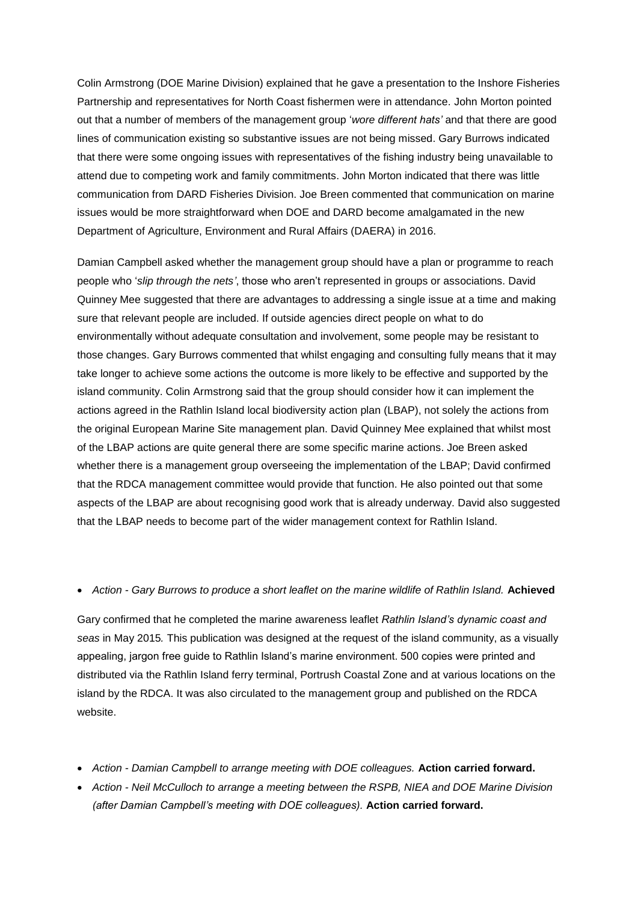Colin Armstrong (DOE Marine Division) explained that he gave a presentation to the Inshore Fisheries Partnership and representatives for North Coast fishermen were in attendance. John Morton pointed out that a number of members of the management group '*wore different hats'* and that there are good lines of communication existing so substantive issues are not being missed. Gary Burrows indicated that there were some ongoing issues with representatives of the fishing industry being unavailable to attend due to competing work and family commitments. John Morton indicated that there was little communication from DARD Fisheries Division. Joe Breen commented that communication on marine issues would be more straightforward when DOE and DARD become amalgamated in the new Department of Agriculture, Environment and Rural Affairs (DAERA) in 2016.

Damian Campbell asked whether the management group should have a plan or programme to reach people who '*slip through the nets'*, those who aren't represented in groups or associations. David Quinney Mee suggested that there are advantages to addressing a single issue at a time and making sure that relevant people are included. If outside agencies direct people on what to do environmentally without adequate consultation and involvement, some people may be resistant to those changes. Gary Burrows commented that whilst engaging and consulting fully means that it may take longer to achieve some actions the outcome is more likely to be effective and supported by the island community. Colin Armstrong said that the group should consider how it can implement the actions agreed in the Rathlin Island local biodiversity action plan (LBAP), not solely the actions from the original European Marine Site management plan. David Quinney Mee explained that whilst most of the LBAP actions are quite general there are some specific marine actions. Joe Breen asked whether there is a management group overseeing the implementation of the LBAP; David confirmed that the RDCA management committee would provide that function. He also pointed out that some aspects of the LBAP are about recognising good work that is already underway. David also suggested that the LBAP needs to become part of the wider management context for Rathlin Island.

#### *Action - Gary Burrows to produce a short leaflet on the marine wildlife of Rathlin Island.* **Achieved**

Gary confirmed that he completed the marine awareness leaflet *Rathlin Island's dynamic coast and seas* in May 2015*.* This publication was designed at the request of the island community, as a visually appealing, jargon free guide to Rathlin Island's marine environment. 500 copies were printed and distributed via the Rathlin Island ferry terminal, Portrush Coastal Zone and at various locations on the island by the RDCA. It was also circulated to the management group and published on the RDCA website.

- *Action - Damian Campbell to arrange meeting with DOE colleagues.* **Action carried forward.**
- *Action - Neil McCulloch to arrange a meeting between the RSPB, NIEA and DOE Marine Division (after Damian Campbell's meeting with DOE colleagues).* **Action carried forward.**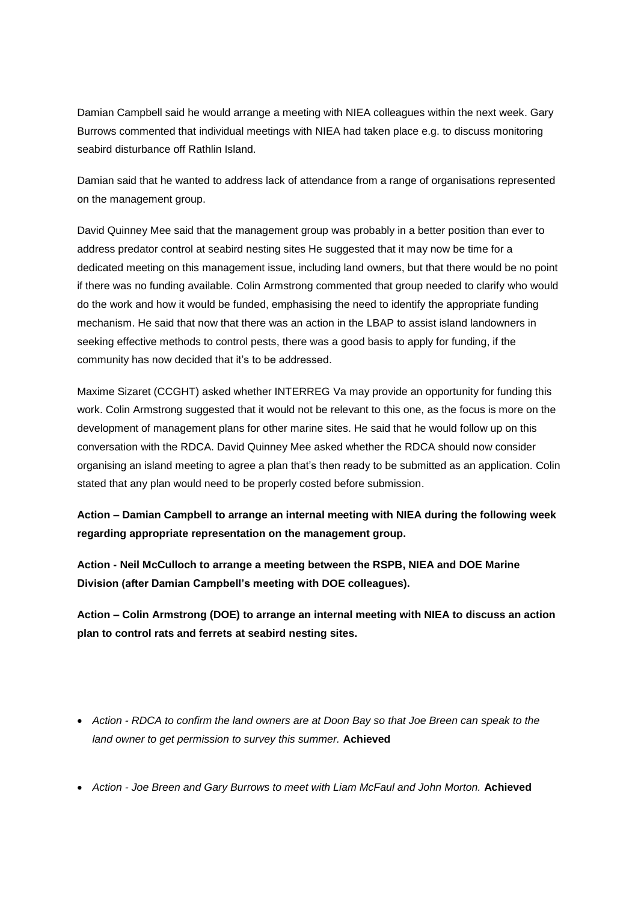Damian Campbell said he would arrange a meeting with NIEA colleagues within the next week. Gary Burrows commented that individual meetings with NIEA had taken place e.g. to discuss monitoring seabird disturbance off Rathlin Island.

Damian said that he wanted to address lack of attendance from a range of organisations represented on the management group.

David Quinney Mee said that the management group was probably in a better position than ever to address predator control at seabird nesting sites He suggested that it may now be time for a dedicated meeting on this management issue, including land owners, but that there would be no point if there was no funding available. Colin Armstrong commented that group needed to clarify who would do the work and how it would be funded, emphasising the need to identify the appropriate funding mechanism. He said that now that there was an action in the LBAP to assist island landowners in seeking effective methods to control pests, there was a good basis to apply for funding, if the community has now decided that it's to be addressed.

Maxime Sizaret (CCGHT) asked whether INTERREG Va may provide an opportunity for funding this work. Colin Armstrong suggested that it would not be relevant to this one, as the focus is more on the development of management plans for other marine sites. He said that he would follow up on this conversation with the RDCA. David Quinney Mee asked whether the RDCA should now consider organising an island meeting to agree a plan that's then ready to be submitted as an application. Colin stated that any plan would need to be properly costed before submission.

**Action – Damian Campbell to arrange an internal meeting with NIEA during the following week regarding appropriate representation on the management group.**

**Action - Neil McCulloch to arrange a meeting between the RSPB, NIEA and DOE Marine Division (after Damian Campbell's meeting with DOE colleagues).**

**Action – Colin Armstrong (DOE) to arrange an internal meeting with NIEA to discuss an action plan to control rats and ferrets at seabird nesting sites.** 

- *Action - RDCA to confirm the land owners are at Doon Bay so that Joe Breen can speak to the land owner to get permission to survey this summer.* **Achieved**
- *Action - Joe Breen and Gary Burrows to meet with Liam McFaul and John Morton.* **Achieved**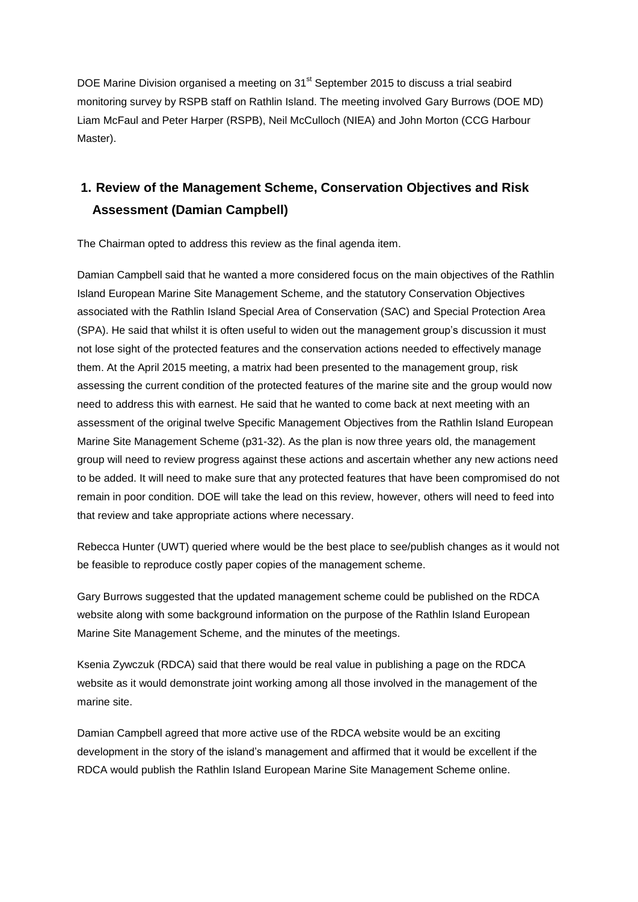DOE Marine Division organised a meeting on 31<sup>st</sup> September 2015 to discuss a trial seabird monitoring survey by RSPB staff on Rathlin Island. The meeting involved Gary Burrows (DOE MD) Liam McFaul and Peter Harper (RSPB), Neil McCulloch (NIEA) and John Morton (CCG Harbour Master).

# **1. Review of the Management Scheme, Conservation Objectives and Risk Assessment (Damian Campbell)**

The Chairman opted to address this review as the final agenda item.

Damian Campbell said that he wanted a more considered focus on the main objectives of the Rathlin Island European Marine Site Management Scheme, and the statutory Conservation Objectives associated with the Rathlin Island Special Area of Conservation (SAC) and Special Protection Area (SPA). He said that whilst it is often useful to widen out the management group's discussion it must not lose sight of the protected features and the conservation actions needed to effectively manage them. At the April 2015 meeting, a matrix had been presented to the management group, risk assessing the current condition of the protected features of the marine site and the group would now need to address this with earnest. He said that he wanted to come back at next meeting with an assessment of the original twelve Specific Management Objectives from the Rathlin Island European Marine Site Management Scheme (p31-32). As the plan is now three years old, the management group will need to review progress against these actions and ascertain whether any new actions need to be added. It will need to make sure that any protected features that have been compromised do not remain in poor condition. DOE will take the lead on this review, however, others will need to feed into that review and take appropriate actions where necessary.

Rebecca Hunter (UWT) queried where would be the best place to see/publish changes as it would not be feasible to reproduce costly paper copies of the management scheme.

Gary Burrows suggested that the updated management scheme could be published on the RDCA website along with some background information on the purpose of the Rathlin Island European Marine Site Management Scheme, and the minutes of the meetings.

Ksenia Zywczuk (RDCA) said that there would be real value in publishing a page on the RDCA website as it would demonstrate joint working among all those involved in the management of the marine site.

Damian Campbell agreed that more active use of the RDCA website would be an exciting development in the story of the island's management and affirmed that it would be excellent if the RDCA would publish the Rathlin Island European Marine Site Management Scheme online.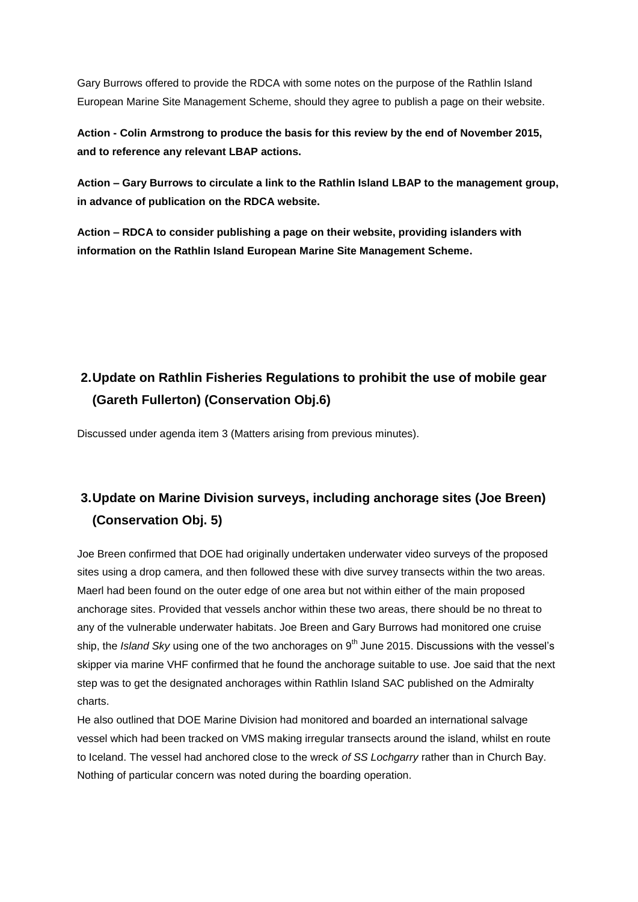Gary Burrows offered to provide the RDCA with some notes on the purpose of the Rathlin Island European Marine Site Management Scheme, should they agree to publish a page on their website.

**Action - Colin Armstrong to produce the basis for this review by the end of November 2015, and to reference any relevant LBAP actions.**

**Action – Gary Burrows to circulate a link to the Rathlin Island LBAP to the management group, in advance of publication on the RDCA website.**

**Action – RDCA to consider publishing a page on their website, providing islanders with information on the Rathlin Island European Marine Site Management Scheme.**

# **2.Update on Rathlin Fisheries Regulations to prohibit the use of mobile gear (Gareth Fullerton) (Conservation Obj.6)**

Discussed under agenda item 3 (Matters arising from previous minutes).

# **3.Update on Marine Division surveys, including anchorage sites (Joe Breen) (Conservation Obj. 5)**

Joe Breen confirmed that DOE had originally undertaken underwater video surveys of the proposed sites using a drop camera, and then followed these with dive survey transects within the two areas. Maerl had been found on the outer edge of one area but not within either of the main proposed anchorage sites. Provided that vessels anchor within these two areas, there should be no threat to any of the vulnerable underwater habitats. Joe Breen and Gary Burrows had monitored one cruise ship, the *Island Sky* using one of the two anchorages on 9<sup>th</sup> June 2015. Discussions with the vessel's skipper via marine VHF confirmed that he found the anchorage suitable to use. Joe said that the next step was to get the designated anchorages within Rathlin Island SAC published on the Admiralty charts.

He also outlined that DOE Marine Division had monitored and boarded an international salvage vessel which had been tracked on VMS making irregular transects around the island, whilst en route to Iceland. The vessel had anchored close to the wreck *of SS Lochgarry* rather than in Church Bay. Nothing of particular concern was noted during the boarding operation.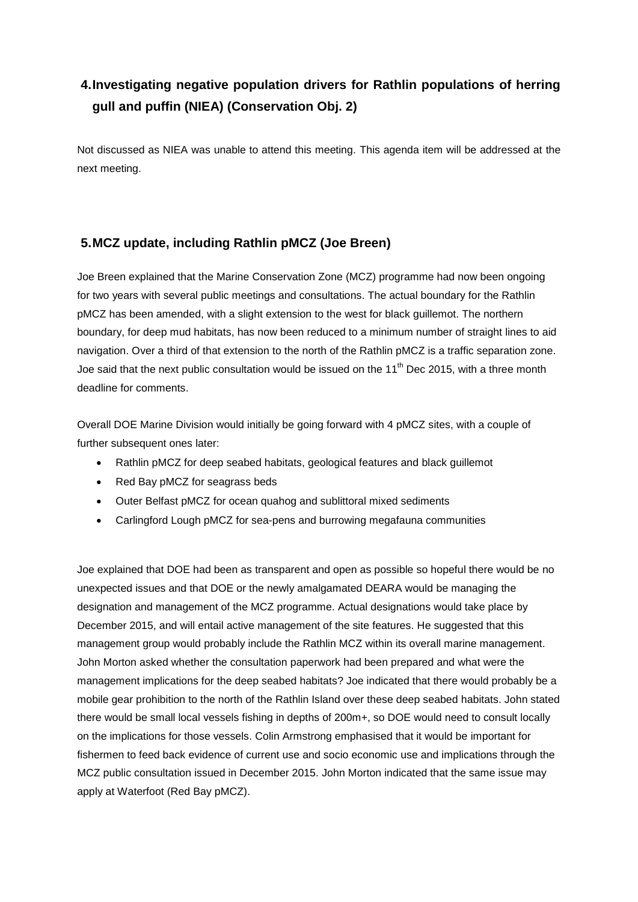# **4.Investigating negative population drivers for Rathlin populations of herring gull and puffin (NIEA) (Conservation Obj. 2)**

Not discussed as NIEA was unable to attend this meeting. This agenda item will be addressed at the next meeting.

### **5.MCZ update, including Rathlin pMCZ (Joe Breen)**

Joe Breen explained that the Marine Conservation Zone (MCZ) programme had now been ongoing for two years with several public meetings and consultations. The actual boundary for the Rathlin pMCZ has been amended, with a slight extension to the west for black guillemot. The northern boundary, for deep mud habitats, has now been reduced to a minimum number of straight lines to aid navigation. Over a third of that extension to the north of the Rathlin pMCZ is a traffic separation zone. Joe said that the next public consultation would be issued on the 11<sup>th</sup> Dec 2015, with a three month deadline for comments.

Overall DOE Marine Division would initially be going forward with 4 pMCZ sites, with a couple of further subsequent ones later:

- Rathlin pMCZ for deep seabed habitats, geological features and black guillemot
- Red Bay pMCZ for seagrass beds
- Outer Belfast pMCZ for ocean quahog and sublittoral mixed sediments
- Carlingford Lough pMCZ for sea-pens and burrowing megafauna communities

Joe explained that DOE had been as transparent and open as possible so hopeful there would be no unexpected issues and that DOE or the newly amalgamated DEARA would be managing the designation and management of the MCZ programme. Actual designations would take place by December 2015, and will entail active management of the site features. He suggested that this management group would probably include the Rathlin MCZ within its overall marine management. John Morton asked whether the consultation paperwork had been prepared and what were the management implications for the deep seabed habitats? Joe indicated that there would probably be a mobile gear prohibition to the north of the Rathlin Island over these deep seabed habitats. John stated there would be small local vessels fishing in depths of 200m+, so DOE would need to consult locally on the implications for those vessels. Colin Armstrong emphasised that it would be important for fishermen to feed back evidence of current use and socio economic use and implications through the MCZ public consultation issued in December 2015. John Morton indicated that the same issue may apply at Waterfoot (Red Bay pMCZ).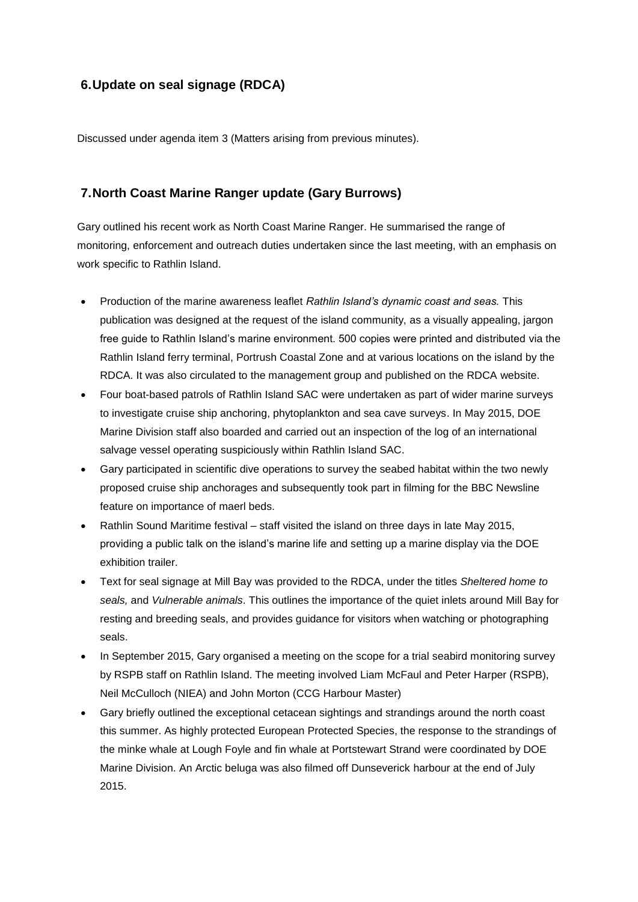### **6.Update on seal signage (RDCA)**

Discussed under agenda item 3 (Matters arising from previous minutes).

#### **7.North Coast Marine Ranger update (Gary Burrows)**

Gary outlined his recent work as North Coast Marine Ranger. He summarised the range of monitoring, enforcement and outreach duties undertaken since the last meeting, with an emphasis on work specific to Rathlin Island.

- Production of the marine awareness leaflet *Rathlin Island's dynamic coast and seas.* This publication was designed at the request of the island community, as a visually appealing, jargon free guide to Rathlin Island's marine environment. 500 copies were printed and distributed via the Rathlin Island ferry terminal, Portrush Coastal Zone and at various locations on the island by the RDCA. It was also circulated to the management group and published on the RDCA website.
- Four boat-based patrols of Rathlin Island SAC were undertaken as part of wider marine surveys to investigate cruise ship anchoring, phytoplankton and sea cave surveys. In May 2015, DOE Marine Division staff also boarded and carried out an inspection of the log of an international salvage vessel operating suspiciously within Rathlin Island SAC.
- Gary participated in scientific dive operations to survey the seabed habitat within the two newly proposed cruise ship anchorages and subsequently took part in filming for the BBC Newsline feature on importance of maerl beds.
- Rathlin Sound Maritime festival staff visited the island on three days in late May 2015, providing a public talk on the island's marine life and setting up a marine display via the DOE exhibition trailer.
- Text for seal signage at Mill Bay was provided to the RDCA, under the titles *Sheltered home to seals,* and *Vulnerable animals*. This outlines the importance of the quiet inlets around Mill Bay for resting and breeding seals, and provides guidance for visitors when watching or photographing seals.
- In September 2015, Gary organised a meeting on the scope for a trial seabird monitoring survey by RSPB staff on Rathlin Island. The meeting involved Liam McFaul and Peter Harper (RSPB), Neil McCulloch (NIEA) and John Morton (CCG Harbour Master)
- Gary briefly outlined the exceptional cetacean sightings and strandings around the north coast this summer. As highly protected European Protected Species, the response to the strandings of the minke whale at Lough Foyle and fin whale at Portstewart Strand were coordinated by DOE Marine Division. An Arctic beluga was also filmed off Dunseverick harbour at the end of July 2015.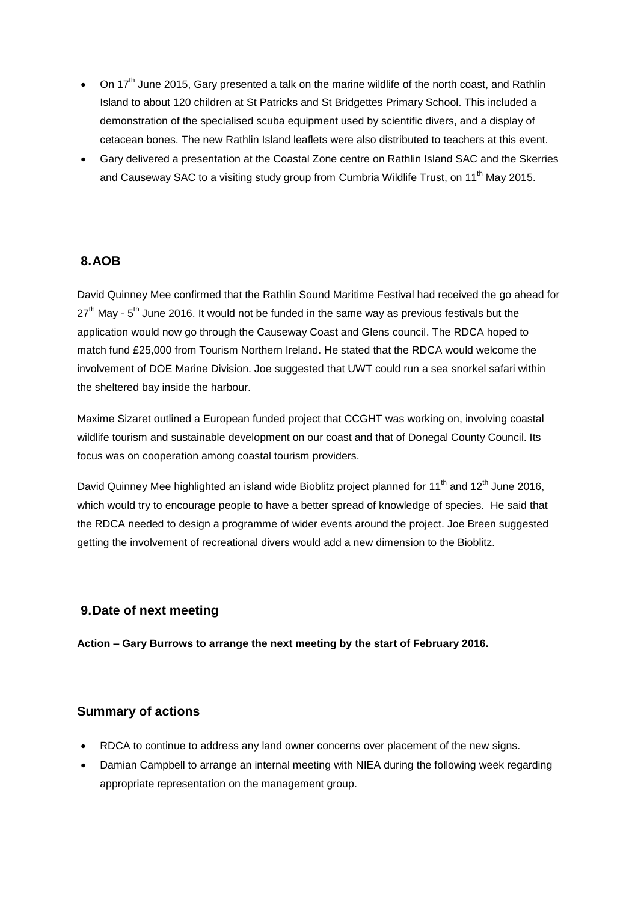- $\bullet$  On 17<sup>th</sup> June 2015, Gary presented a talk on the marine wildlife of the north coast, and Rathlin Island to about 120 children at St Patricks and St Bridgettes Primary School. This included a demonstration of the specialised scuba equipment used by scientific divers, and a display of cetacean bones. The new Rathlin Island leaflets were also distributed to teachers at this event.
- Gary delivered a presentation at the Coastal Zone centre on Rathlin Island SAC and the Skerries and Causeway SAC to a visiting study group from Cumbria Wildlife Trust, on 11<sup>th</sup> May 2015.

#### **8.AOB**

David Quinney Mee confirmed that the Rathlin Sound Maritime Festival had received the go ahead for  $27<sup>th</sup>$  May -  $5<sup>th</sup>$  June 2016. It would not be funded in the same way as previous festivals but the application would now go through the Causeway Coast and Glens council. The RDCA hoped to match fund £25,000 from Tourism Northern Ireland. He stated that the RDCA would welcome the involvement of DOE Marine Division. Joe suggested that UWT could run a sea snorkel safari within the sheltered bay inside the harbour.

Maxime Sizaret outlined a European funded project that CCGHT was working on, involving coastal wildlife tourism and sustainable development on our coast and that of Donegal County Council. Its focus was on cooperation among coastal tourism providers.

David Quinney Mee highlighted an island wide Bioblitz project planned for 11<sup>th</sup> and 12<sup>th</sup> June 2016, which would try to encourage people to have a better spread of knowledge of species. He said that the RDCA needed to design a programme of wider events around the project. Joe Breen suggested getting the involvement of recreational divers would add a new dimension to the Bioblitz.

#### **9.Date of next meeting**

**Action – Gary Burrows to arrange the next meeting by the start of February 2016.**

#### **Summary of actions**

- RDCA to continue to address any land owner concerns over placement of the new signs.
- Damian Campbell to arrange an internal meeting with NIEA during the following week regarding appropriate representation on the management group.